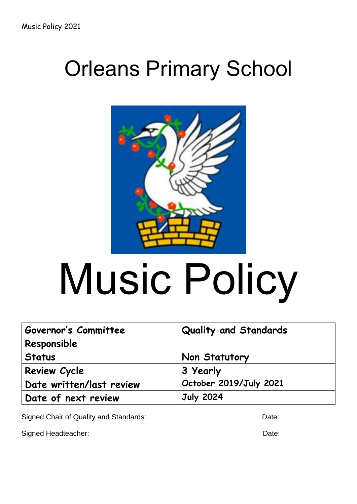# Orleans Primary School



# Music Policy

| Governor's Committee     | Quality and Standards  |
|--------------------------|------------------------|
| Responsible              |                        |
| <b>Status</b>            | Non Statutory          |
| <b>Review Cycle</b>      | 3 Yearly               |
| Date written/last review | October 2019/July 2021 |
| Date of next review      | <b>July 2024</b>       |

Signed Chair of Quality and Standards: Date: Date:

Signed Headteacher: Date: Date: Date: Date: Date: Date: Date: Date: Date: Date: Date: Date: Date: Date: Date: Date: Date: Date: Date: Date: Date: Date: Date: Date: Date: Date: Date: Date: Date: Date: Date: Date: Date: Date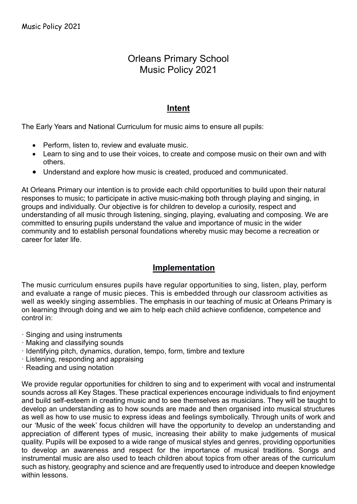# Orleans Primary School Music Policy 2021

# **Intent**

The Early Years and National Curriculum for music aims to ensure all pupils:

- Perform, listen to, review and evaluate music.
- Learn to sing and to use their voices, to create and compose music on their own and with others.
- Understand and explore how music is created, produced and communicated.

At Orleans Primary our intention is to provide each child opportunities to build upon their natural responses to music; to participate in active music-making both through playing and singing, in groups and individually. Our objective is for children to develop a curiosity, respect and understanding of all music through listening, singing, playing, evaluating and composing. We are committed to ensuring pupils understand the value and importance of music in the wider community and to establish personal foundations whereby music may become a recreation or career for later life.

## **Implementation**

The music curriculum ensures pupils have regular opportunities to sing, listen, play, perform and evaluate a range of music pieces. This is embedded through our classroom activities as well as weekly singing assemblies. The emphasis in our teaching of music at Orleans Primary is on learning through doing and we aim to help each child achieve confidence, competence and control in:

- · Singing and using instruments
- · Making and classifying sounds
- · Identifying pitch, dynamics, duration, tempo, form, timbre and texture
- · Listening, responding and appraising
- · Reading and using notation

We provide regular opportunities for children to sing and to experiment with vocal and instrumental sounds across all Key Stages. These practical experiences encourage individuals to find enjoyment and build self-esteem in creating music and to see themselves as musicians. They will be taught to develop an understanding as to how sounds are made and then organised into musical structures as well as how to use music to express ideas and feelings symbolically. Through units of work and our 'Music of the week' focus children will have the opportunity to develop an understanding and appreciation of different types of music, increasing their ability to make judgements of musical quality. Pupils will be exposed to a wide range of musical styles and genres, providing opportunities to develop an awareness and respect for the importance of musical traditions. Songs and instrumental music are also used to teach children about topics from other areas of the curriculum such as history, geography and science and are frequently used to introduce and deepen knowledge within lessons.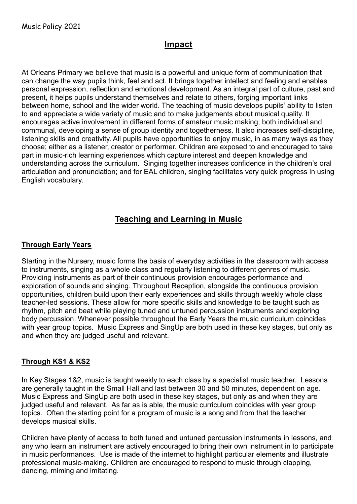# **Impact**

At Orleans Primary we believe that music is a powerful and unique form of communication that can change the way pupils think, feel and act. It brings together intellect and feeling and enables personal expression, reflection and emotional development. As an integral part of culture, past and present, it helps pupils understand themselves and relate to others, forging important links between home, school and the wider world. The teaching of music develops pupils' ability to listen to and appreciate a wide variety of music and to make judgements about musical quality. It encourages active involvement in different forms of amateur music making, both individual and communal, developing a sense of group identity and togetherness. It also increases self-discipline, listening skills and creativity. All pupils have opportunities to enjoy music, in as many ways as they choose; either as a listener, creator or performer. Children are exposed to and encouraged to take part in music-rich learning experiences which capture interest and deepen knowledge and understanding across the curriculum. Singing together increases confidence in the children's oral articulation and pronunciation; and for EAL children, singing facilitates very quick progress in using English vocabulary.

# **Teaching and Learning in Music**

#### **Through Early Years**

Starting in the Nursery, music forms the basis of everyday activities in the classroom with access to instruments, singing as a whole class and regularly listening to different genres of music. Providing instruments as part of their continuous provision encourages performance and exploration of sounds and singing. Throughout Reception, alongside the continuous provision opportunities, children build upon their early experiences and skills through weekly whole class teacher-led sessions. These allow for more specific skills and knowledge to be taught such as rhythm, pitch and beat while playing tuned and untuned percussion instruments and exploring body percussion. Whenever possible throughout the Early Years the music curriculum coincides with year group topics. Music Express and SingUp are both used in these key stages, but only as and when they are judged useful and relevant.

#### **Through KS1 & KS2**

In Key Stages 1&2, music is taught weekly to each class by a specialist music teacher. Lessons are generally taught in the Small Hall and last between 30 and 50 minutes, dependent on age. Music Express and SingUp are both used in these key stages, but only as and when they are judged useful and relevant. As far as is able, the music curriculum coincides with year group topics. Often the starting point for a program of music is a song and from that the teacher develops musical skills.

Children have plenty of access to both tuned and untuned percussion instruments in lessons, and any who learn an instrument are actively encouraged to bring their own instrument in to participate in music performances. Use is made of the internet to highlight particular elements and illustrate professional music-making. Children are encouraged to respond to music through clapping, dancing, miming and imitating.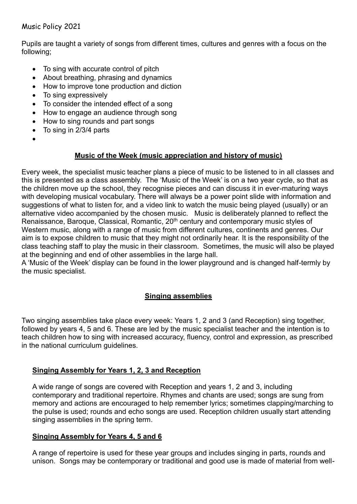#### Music Policy 2021

Pupils are taught a variety of songs from different times, cultures and genres with a focus on the following;

- To sing with accurate control of pitch
- About breathing, phrasing and dynamics
- How to improve tone production and diction
- To sing expressively
- To consider the intended effect of a song
- How to engage an audience through song
- How to sing rounds and part songs
- $\bullet$  To sing in 2/3/4 parts
- $\bullet$

#### **Music of the Week (music appreciation and history of music)**

Every week, the specialist music teacher plans a piece of music to be listened to in all classes and this is presented as a class assembly. The 'Music of the Week' is on a two year cycle, so that as the children move up the school, they recognise pieces and can discuss it in ever-maturing ways with developing musical vocabulary. There will always be a power point slide with information and suggestions of what to listen for, and a video link to watch the music being played (usually) or an alternative video accompanied by the chosen music. Music is deliberately planned to reflect the Renaissance, Baroque, Classical, Romantic, 20<sup>th</sup> century and contemporary music styles of Western music, along with a range of music from different cultures, continents and genres. Our aim is to expose children to music that they might not ordinarily hear. It is the responsibility of the class teaching staff to play the music in their classroom. Sometimes, the music will also be played at the beginning and end of other assemblies in the large hall.

A 'Music of the Week' display can be found in the lower playground and is changed half-termly by the music specialist.

#### **Singing assemblies**

Two singing assemblies take place every week: Years 1, 2 and 3 (and Reception) sing together, followed by years 4, 5 and 6. These are led by the music specialist teacher and the intention is to teach children how to sing with increased accuracy, fluency, control and expression, as prescribed in the national curriculum guidelines.

#### **Singing Assembly for Years 1, 2, 3 and Reception**

A wide range of songs are covered with Reception and years 1, 2 and 3, including contemporary and traditional repertoire. Rhymes and chants are used; songs are sung from memory and actions are encouraged to help remember lyrics; sometimes clapping/marching to the pulse is used; rounds and echo songs are used. Reception children usually start attending singing assemblies in the spring term.

#### **Singing Assembly for Years 4, 5 and 6**

A range of repertoire is used for these year groups and includes singing in parts, rounds and unison. Songs may be contemporary or traditional and good use is made of material from well